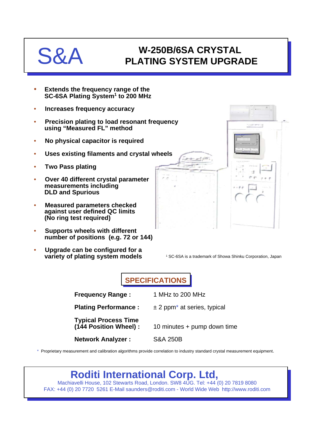## $S$

## **W-250B/6SA CRYSTAL PLATING SYSTEM UPGRADE**

- **Extends the frequency range of the SC-6SA Plating System1 to 200 MHz**
- **Increases frequency accuracy**
- **Precision plating to load resonant frequency using "Measured FL" method**
- **No physical capacitor is required**
- **Uses existing filaments and crystal wheels**
- **Two Pass plating**
- **Over 40 different crystal parameter measurements including DLD and Spurious**
- **Measured parameters checked against user defined QC limits (No ring test required)**
- **Supports wheels with different number of positions (e.g. 72 or 144)**
- **Upgrade can be configured for a variety of plating system models**



<sup>1</sup> SC-6SA is a trademark of Showa Shinku Corporation, Japan

**SPECIFICATIONS**

| <b>Frequency Range:</b>                               | 1 MHz to 200 MHz                          |
|-------------------------------------------------------|-------------------------------------------|
| <b>Plating Performance:</b>                           | $±$ 2 ppm <sup>*</sup> at series, typical |
| <b>Typical Process Time</b><br>(144 Position Wheel) : | 10 minutes + pump down time               |
| <b>Network Analyzer:</b>                              | <b>S&amp;A 250B</b>                       |

\* Proprietary measurement and calibration algorithms provide correlation to industry standard crystal measurement equipment.

## **Roditi International Corp. Ltd,**

Machiavelli House, 102 Stewarts Road, London. SW8 4UG. Tel: +44 (0) 20 7819 8080 FAX: +44 (0) 20 7720 5261 E-Mail saunders@roditi.com - World Wide Web http://www.roditi.com